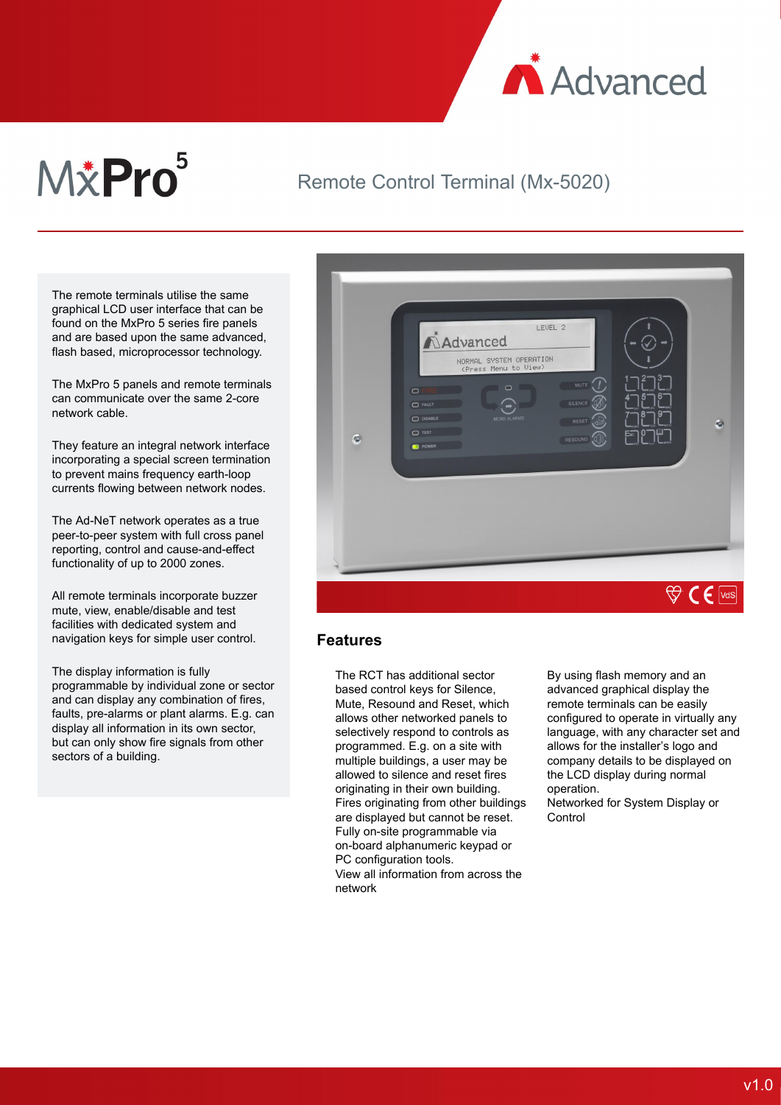

# M&Pro<sup>5</sup>

## Remote Control Terminal (Mx-5020)

The remote terminals utilise the same graphical LCD user interface that can be found on the MxPro 5 series fire panels and are based upon the same advanced, flash based, microprocessor technology.

The MxPro 5 panels and remote terminals can communicate over the same 2-core network cable.

They feature an integral network interface incorporating a special screen termination to prevent mains frequency earth-loop currents flowing between network nodes.

The Ad-NeT network operates as a true peer-to-peer system with full cross panel reporting, control and cause-and-effect functionality of up to 2000 zones.

All remote terminals incorporate buzzer mute, view, enable/disable and test facilities with dedicated system and navigation keys for simple user control.

The display information is fully programmable by individual zone or sector and can display any combination of fires, faults, pre-alarms or plant alarms. E.g. can display all information in its own sector, but can only show fire signals from other sectors of a building.



#### **Features**

The RCT has additional sector based control keys for Silence, Mute, Resound and Reset, which allows other networked panels to selectively respond to controls as programmed. E.g. on a site with multiple buildings, a user may be allowed to silence and reset fires originating in their own building. Fires originating from other buildings are displayed but cannot be reset. Fully on-site programmable via on-board alphanumeric keypad or PC configuration tools. View all information from across the network

By using flash memory and an advanced graphical display the remote terminals can be easily configured to operate in virtually any language, with any character set and allows for the installer's logo and company details to be displayed on the LCD display during normal operation.

Networked for System Display or **Control**